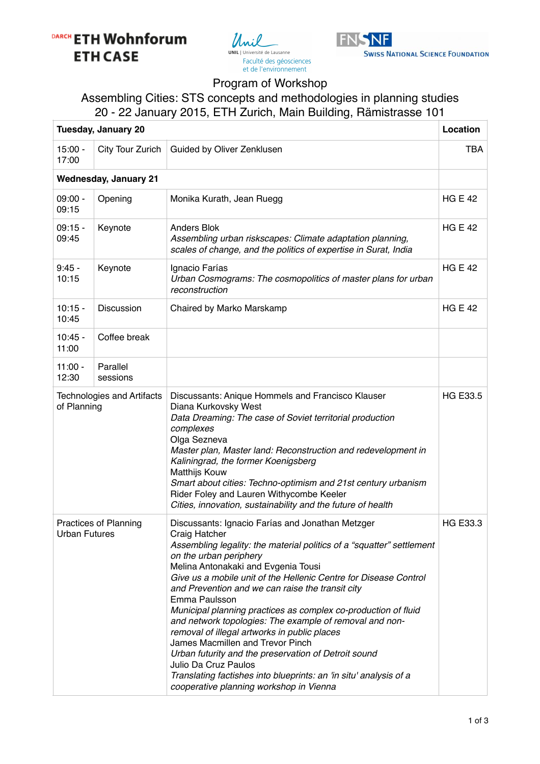# DARCH ETH Wohnforum **ETH CASE**





#### Program of Workshop

### Assembling Cities: STS concepts and methodologies in planning studies 20 - 22 January 2015, ETH Zurich, Main Building, Rämistrasse 101

| <b>Tuesday, January 20</b>                           |                      |                                                                                                                                                                                                                                                                                                                                                                                                                                                                                                                                                                                                                                                                                                                                                                       |                 |  |  |
|------------------------------------------------------|----------------------|-----------------------------------------------------------------------------------------------------------------------------------------------------------------------------------------------------------------------------------------------------------------------------------------------------------------------------------------------------------------------------------------------------------------------------------------------------------------------------------------------------------------------------------------------------------------------------------------------------------------------------------------------------------------------------------------------------------------------------------------------------------------------|-----------------|--|--|
| $15:00 -$<br>17:00                                   | City Tour Zurich     | Guided by Oliver Zenklusen                                                                                                                                                                                                                                                                                                                                                                                                                                                                                                                                                                                                                                                                                                                                            | <b>TBA</b>      |  |  |
| <b>Wednesday, January 21</b>                         |                      |                                                                                                                                                                                                                                                                                                                                                                                                                                                                                                                                                                                                                                                                                                                                                                       |                 |  |  |
| $09:00 -$<br>09:15                                   | Opening              | Monika Kurath, Jean Ruegg                                                                                                                                                                                                                                                                                                                                                                                                                                                                                                                                                                                                                                                                                                                                             | <b>HG E 42</b>  |  |  |
| $09:15 -$<br>09:45                                   | Keynote              | <b>Anders Blok</b><br>Assembling urban riskscapes: Climate adaptation planning,<br>scales of change, and the politics of expertise in Surat, India                                                                                                                                                                                                                                                                                                                                                                                                                                                                                                                                                                                                                    | <b>HG E 42</b>  |  |  |
| $9:45 -$<br>10:15                                    | Keynote              | Ignacio Farías<br>Urban Cosmograms: The cosmopolitics of master plans for urban<br>reconstruction                                                                                                                                                                                                                                                                                                                                                                                                                                                                                                                                                                                                                                                                     | <b>HG E 42</b>  |  |  |
| $10:15 -$<br>10:45                                   | Discussion           | Chaired by Marko Marskamp                                                                                                                                                                                                                                                                                                                                                                                                                                                                                                                                                                                                                                                                                                                                             | <b>HG E 42</b>  |  |  |
| $10:45 -$<br>11:00                                   | Coffee break         |                                                                                                                                                                                                                                                                                                                                                                                                                                                                                                                                                                                                                                                                                                                                                                       |                 |  |  |
| $11:00 -$<br>12:30                                   | Parallel<br>sessions |                                                                                                                                                                                                                                                                                                                                                                                                                                                                                                                                                                                                                                                                                                                                                                       |                 |  |  |
| <b>Technologies and Artifacts</b><br>of Planning     |                      | Discussants: Anique Hommels and Francisco Klauser<br>Diana Kurkovsky West<br>Data Dreaming: The case of Soviet territorial production<br>complexes<br>Olga Sezneva<br>Master plan, Master land: Reconstruction and redevelopment in<br>Kaliningrad, the former Koenigsberg<br><b>Matthijs Kouw</b><br>Smart about cities: Techno-optimism and 21st century urbanism<br>Rider Foley and Lauren Withycombe Keeler<br>Cities, innovation, sustainability and the future of health                                                                                                                                                                                                                                                                                        | <b>HG E33.5</b> |  |  |
| <b>Practices of Planning</b><br><b>Urban Futures</b> |                      | Discussants: Ignacio Farías and Jonathan Metzger<br>Craig Hatcher<br>Assembling legality: the material politics of a "squatter" settlement<br>on the urban periphery<br>Melina Antonakaki and Evgenia Tousi<br>Give us a mobile unit of the Hellenic Centre for Disease Control<br>and Prevention and we can raise the transit city<br>Emma Paulsson<br>Municipal planning practices as complex co-production of fluid<br>and network topologies: The example of removal and non-<br>removal of illegal artworks in public places<br>James Macmillen and Trevor Pinch<br>Urban futurity and the preservation of Detroit sound<br>Julio Da Cruz Paulos<br>Translating factishes into blueprints: an 'in situ' analysis of a<br>cooperative planning workshop in Vienna | <b>HG E33.3</b> |  |  |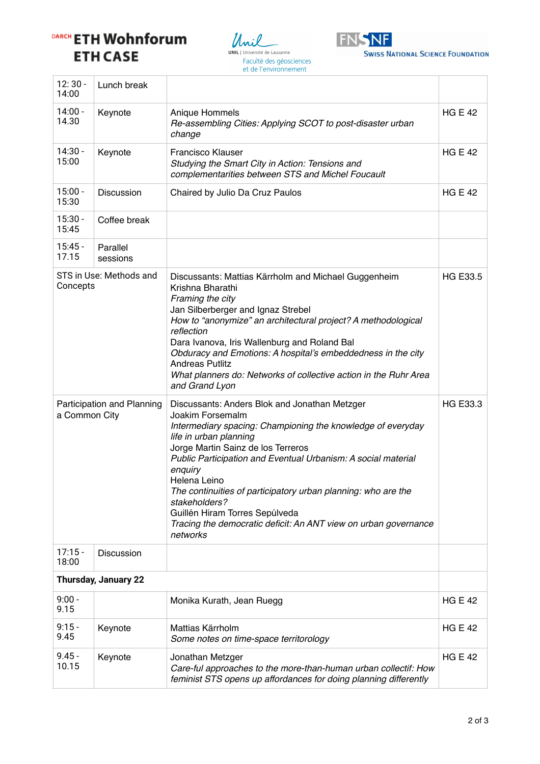## DARCH ETH Wohnforum **ETH CASE**





| $12:30 -$<br>14:00                          | Lunch break          |                                                                                                                                                                                                                                                                                                                                                                                                                                                                                                 |                 |  |
|---------------------------------------------|----------------------|-------------------------------------------------------------------------------------------------------------------------------------------------------------------------------------------------------------------------------------------------------------------------------------------------------------------------------------------------------------------------------------------------------------------------------------------------------------------------------------------------|-----------------|--|
| $14:00 -$<br>14.30                          | Keynote              | Anique Hommels<br>Re-assembling Cities: Applying SCOT to post-disaster urban<br>change                                                                                                                                                                                                                                                                                                                                                                                                          | <b>HG E 42</b>  |  |
| $14:30 -$<br>15:00                          | Keynote              | <b>Francisco Klauser</b><br>Studying the Smart City in Action: Tensions and<br>complementarities between STS and Michel Foucault                                                                                                                                                                                                                                                                                                                                                                | <b>HG E 42</b>  |  |
| $15:00 -$<br>15:30                          | Discussion           | Chaired by Julio Da Cruz Paulos                                                                                                                                                                                                                                                                                                                                                                                                                                                                 | <b>HG E 42</b>  |  |
| $15:30 -$<br>15:45                          | Coffee break         |                                                                                                                                                                                                                                                                                                                                                                                                                                                                                                 |                 |  |
| $15:45 -$<br>17.15                          | Parallel<br>sessions |                                                                                                                                                                                                                                                                                                                                                                                                                                                                                                 |                 |  |
| STS in Use: Methods and<br>Concepts         |                      | Discussants: Mattias Kärrholm and Michael Guggenheim<br>Krishna Bharathi<br>Framing the city<br>Jan Silberberger and Ignaz Strebel<br>How to "anonymize" an architectural project? A methodological<br>reflection<br>Dara Ivanova, Iris Wallenburg and Roland Bal<br>Obduracy and Emotions: A hospital's embeddedness in the city<br><b>Andreas Putlitz</b><br>What planners do: Networks of collective action in the Ruhr Area<br>and Grand Lyon                                               | HG E33.5        |  |
| Participation and Planning<br>a Common City |                      | Discussants: Anders Blok and Jonathan Metzger<br>Joakim Forsemalm<br>Intermediary spacing: Championing the knowledge of everyday<br>life in urban planning<br>Jorge Martin Sainz de los Terreros<br>Public Participation and Eventual Urbanism: A social material<br>enquiry<br>Helena Leino<br>The continuities of participatory urban planning: who are the<br>stakeholders?<br>Guillén Hiram Torres Sepúlveda<br>Tracing the democratic deficit: An ANT view on urban governance<br>networks | <b>HG E33.3</b> |  |
| $17:15 -$<br>18:00                          | Discussion           |                                                                                                                                                                                                                                                                                                                                                                                                                                                                                                 |                 |  |
| <b>Thursday, January 22</b>                 |                      |                                                                                                                                                                                                                                                                                                                                                                                                                                                                                                 |                 |  |
| $9:00 -$<br>9.15                            |                      | Monika Kurath, Jean Ruegg                                                                                                                                                                                                                                                                                                                                                                                                                                                                       | <b>HG E 42</b>  |  |
| $9:15 -$<br>9.45                            | Keynote              | Mattias Kärrholm<br>Some notes on time-space territorology                                                                                                                                                                                                                                                                                                                                                                                                                                      | <b>HG E 42</b>  |  |
| $9.45 -$<br>10.15                           | Keynote              | Jonathan Metzger<br>Care-ful approaches to the more-than-human urban collectif: How<br>feminist STS opens up affordances for doing planning differently                                                                                                                                                                                                                                                                                                                                         | <b>HG E 42</b>  |  |